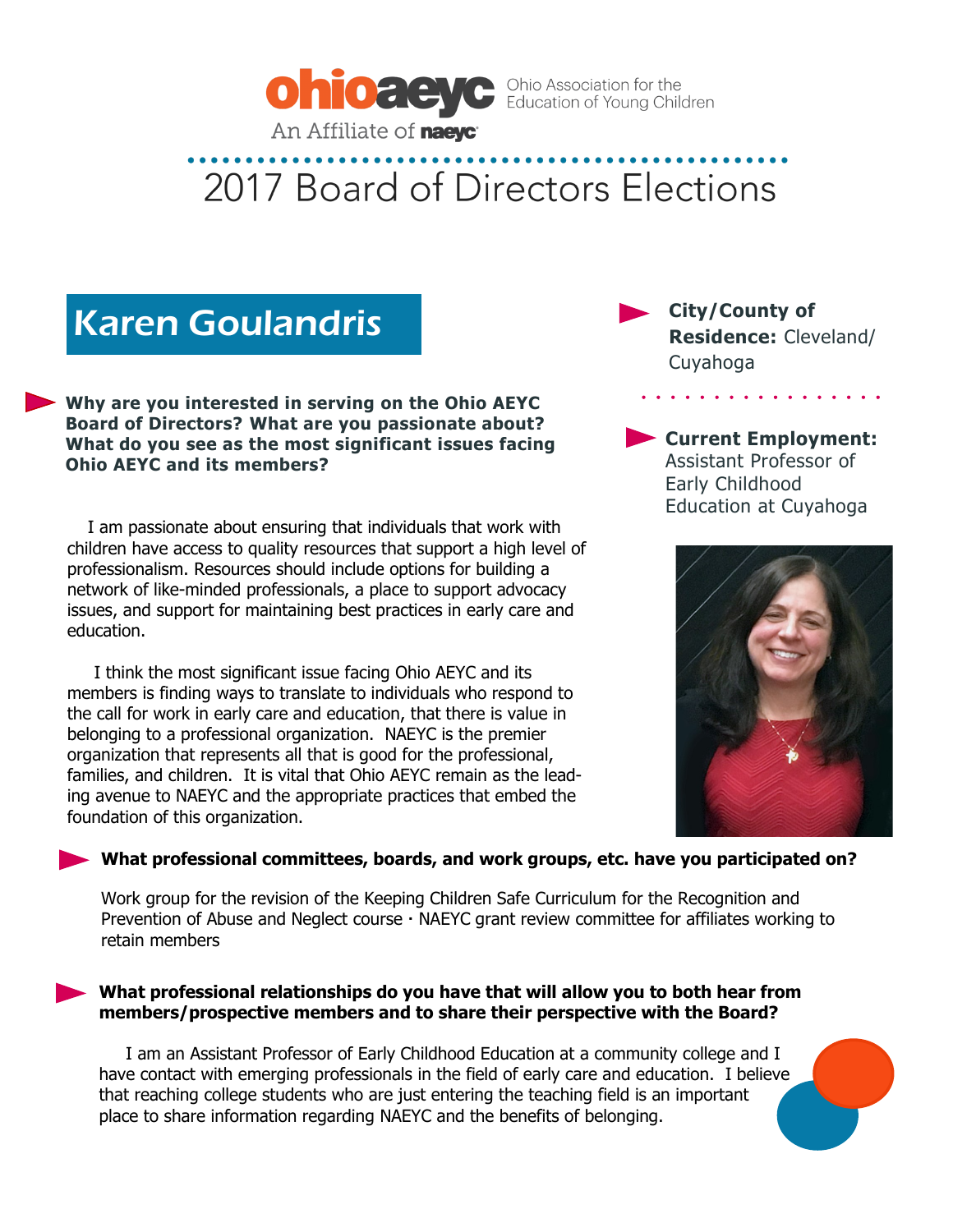

### Karen Goulandris

**Why are you interested in serving on the Ohio AEYC Board of Directors? What are you passionate about? What do you see as the most significant issues facing Ohio AEYC and its members?** 

 I am passionate about ensuring that individuals that work with children have access to quality resources that support a high level of professionalism. Resources should include options for building a network of like-minded professionals, a place to support advocacy issues, and support for maintaining best practices in early care and education.

 I think the most significant issue facing Ohio AEYC and its members is finding ways to translate to individuals who respond to the call for work in early care and education, that there is value in belonging to a professional organization. NAEYC is the premier organization that represents all that is good for the professional, families, and children. It is vital that Ohio AEYC remain as the leading avenue to NAEYC and the appropriate practices that embed the foundation of this organization.

**City/County of Residence:** Cleveland/ Cuyahoga

 $\mathbf{r}$  and  $\mathbf{r}$  and  $\mathbf{r}$ 

**Current Employment:**  Assistant Professor of Early Childhood Education at Cuyahoga



### **What professional committees, boards, and work groups, etc. have you participated on?**

Work group for the revision of the Keeping Children Safe Curriculum for the Recognition and Prevention of Abuse and Neglect course  $\cdot$  NAEYC grant review committee for affiliates working to retain members

#### **What professional relationships do you have that will allow you to both hear from members/prospective members and to share their perspective with the Board?**

 I am an Assistant Professor of Early Childhood Education at a community college and I have contact with emerging professionals in the field of early care and education. I believe that reaching college students who are just entering the teaching field is an important place to share information regarding NAEYC and the benefits of belonging.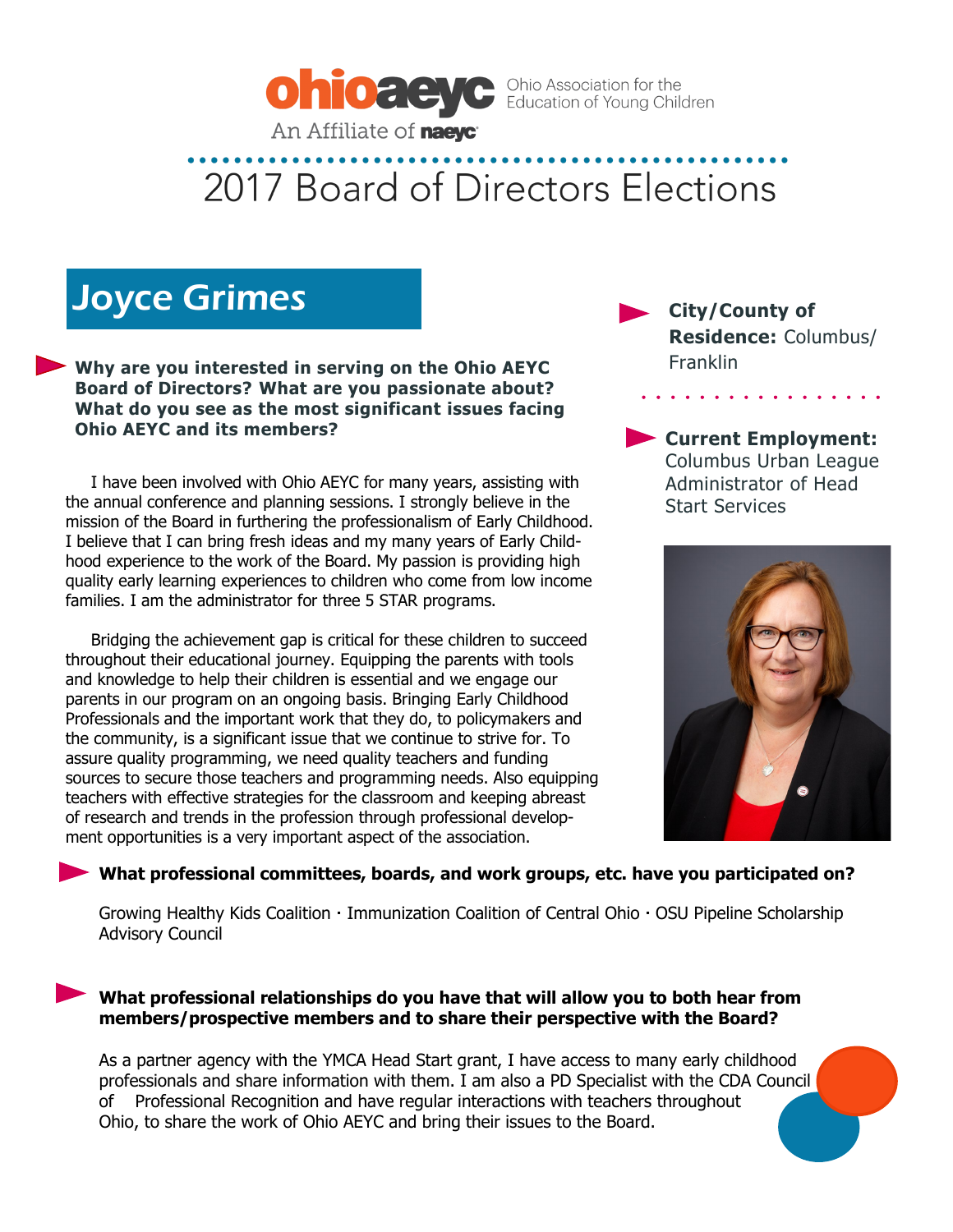

### Joyce Grimes

**Why are you interested in serving on the Ohio AEYC Board of Directors? What are you passionate about? What do you see as the most significant issues facing Ohio AEYC and its members?** 

 I have been involved with Ohio AEYC for many years, assisting with the annual conference and planning sessions. I strongly believe in the mission of the Board in furthering the professionalism of Early Childhood. I believe that I can bring fresh ideas and my many years of Early Childhood experience to the work of the Board. My passion is providing high quality early learning experiences to children who come from low income families. I am the administrator for three 5 STAR programs.

 Bridging the achievement gap is critical for these children to succeed throughout their educational journey. Equipping the parents with tools and knowledge to help their children is essential and we engage our parents in our program on an ongoing basis. Bringing Early Childhood Professionals and the important work that they do, to policymakers and the community, is a significant issue that we continue to strive for. To assure quality programming, we need quality teachers and funding sources to secure those teachers and programming needs. Also equipping teachers with effective strategies for the classroom and keeping abreast of research and trends in the profession through professional development opportunities is a very important aspect of the association.

**City/County of Residence:** Columbus/ Franklin

**Current Employment:**  Columbus Urban League Administrator of Head Start Services



### **What professional committees, boards, and work groups, etc. have you participated on?**

Growing Healthy Kids Coalition · Immunization Coalition of Central Ohio · OSU Pipeline Scholarship Advisory Council

### **What professional relationships do you have that will allow you to both hear from members/prospective members and to share their perspective with the Board?**

As a partner agency with the YMCA Head Start grant, I have access to many early childhood professionals and share information with them. I am also a PD Specialist with the CDA Council of Professional Recognition and have regular interactions with teachers throughout Ohio, to share the work of Ohio AEYC and bring their issues to the Board.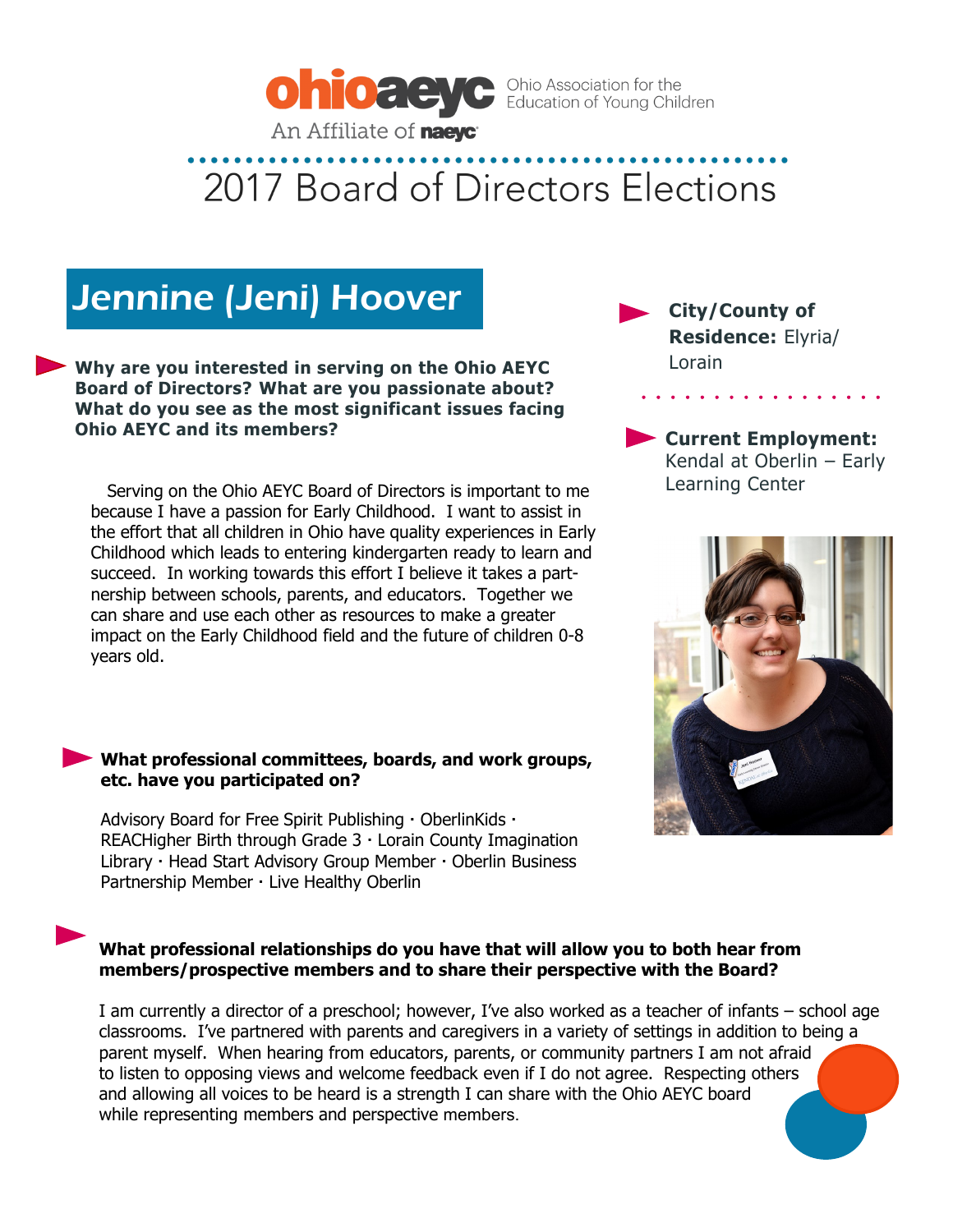

### Jennine (Jeni) Hoover

**Why are you interested in serving on the Ohio AEYC Board of Directors? What are you passionate about? What do you see as the most significant issues facing Ohio AEYC and its members?** 

 Serving on the Ohio AEYC Board of Directors is important to me because I have a passion for Early Childhood. I want to assist in the effort that all children in Ohio have quality experiences in Early Childhood which leads to entering kindergarten ready to learn and succeed. In working towards this effort I believe it takes a partnership between schools, parents, and educators. Together we can share and use each other as resources to make a greater impact on the Early Childhood field and the future of children 0-8 years old.

#### **What professional committees, boards, and work groups, etc. have you participated on?**

Advisory Board for Free Spirit Publishing  $\cdot$  OberlinKids  $\cdot$ REACHigher Birth through Grade  $3 \cdot$  Lorain County Imagination Library · Head Start Advisory Group Member · Oberlin Business Partnership Member · Live Healthy Oberlin

### **What professional relationships do you have that will allow you to both hear from members/prospective members and to share their perspective with the Board?**

I am currently a director of a preschool; however, I've also worked as a teacher of infants – school age classrooms. I've partnered with parents and caregivers in a variety of settings in addition to being a parent myself. When hearing from educators, parents, or community partners I am not afraid to listen to opposing views and welcome feedback even if I do not agree. Respecting others and allowing all voices to be heard is a strength I can share with the Ohio AEYC board while representing members and perspective members.

**City/County of Residence:** Elyria/ Lorain

**Current Employment:**  Kendal at Oberlin – Early Learning Center